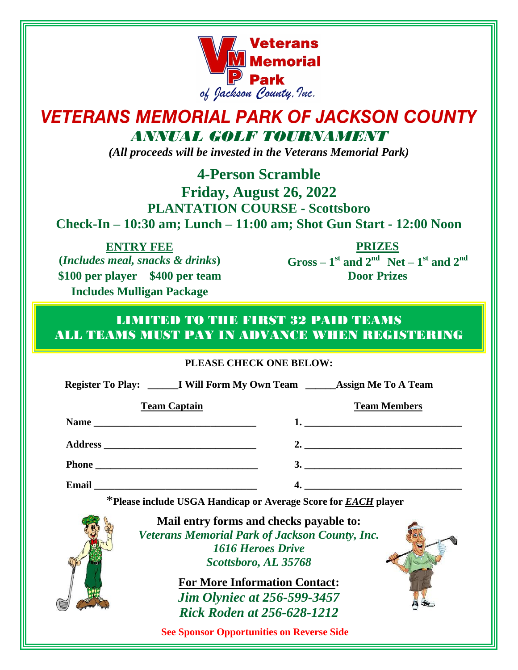

# *VETERANS MEMORIAL PARK OF JACKSON COUNTY ANNUAL GOLF TOURNAMENT*

*(All proceeds will be invested in the Veterans Memorial Park)*

**4-Person Scramble**

### **Friday, August 26, 2022 PLANTATION COURSE - Scottsboro Check-In – 10:30 am; Lunch – 11:00 am; Shot Gun Start - 12:00 Noon**

**ENTRY FEE (***Includes meal, snacks & drinks***) \$100 per player \$400 per team Includes Mulligan Package**

**PRIZES**  $Gross - 1$ <sup>st</sup> and  $2<sup>nd</sup>$  Net – 1<sup>st</sup> and  $2<sup>nd</sup>$ **Door Prizes**

### LIMITED TO THE FIRST 32 PAID TEAMS ALL TEAMS MUST PAY IN ADVANCE WHEN REGISTERING

#### **PLEASE CHECK ONE BELOW:**

**Register To Play: \_\_\_\_\_\_I Will Form My Own Team \_\_\_\_\_\_Assign Me To A Team**

| <b>Team Captain</b>                                                       | <b>Team Members</b>                         |
|---------------------------------------------------------------------------|---------------------------------------------|
|                                                                           | <u>1. _________________________________</u> |
|                                                                           | 2. $\overline{\phantom{a}}$                 |
|                                                                           | 3.                                          |
| <b>Email</b><br><u> 1980 - Andrea Andrewski, fransk politik (d. 1980)</u> |                                             |

\***Please include USGA Handicap or Average Score for** *EACH* **player**



**Mail entry forms and checks payable to:** *Veterans Memorial Park of Jackson County, Inc. 1616 Heroes Drive Scottsboro, AL 35768*

> **For More Information Contact:** *Jim Olyniec at 256-599-3457 Rick Roden at 256-628-1212*

**See Sponsor Opportunities on Reverse Side**